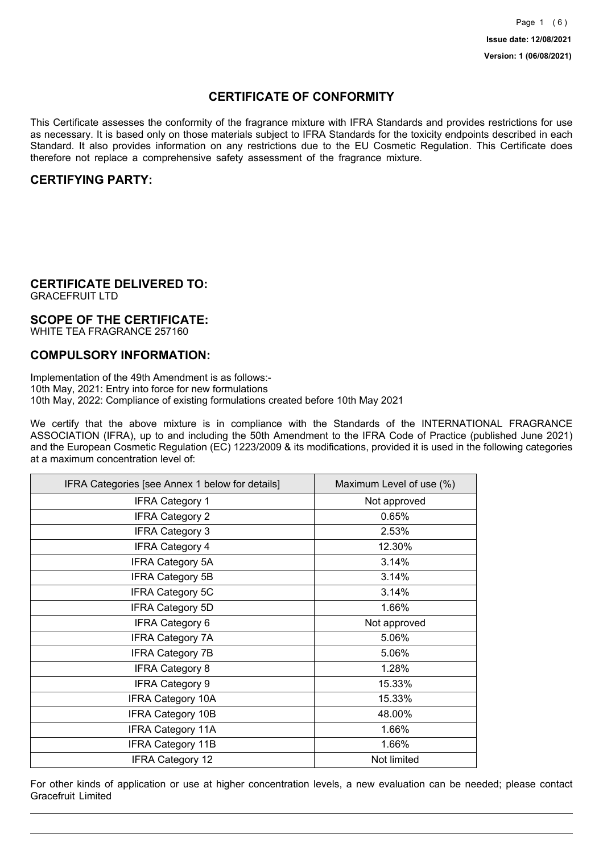## **CERTIFICATE OF CONFORMITY**

This Certificate assesses the conformity of the fragrance mixture with IFRA Standards and provides restrictions for use as necessary. It is based only on those materials subject to IFRA Standards for the toxicity endpoints described in each Standard. It also provides information on any restrictions due to the EU Cosmetic Regulation. This Certificate does therefore not replace a comprehensive safety assessment of the fragrance mixture.

## **CERTIFYING PARTY:**

## **CERTIFICATE DELIVERED TO:**

GRACEFRUIT LTD

### **SCOPE OF THE CERTIFICATE:**

WHITE TEA FRAGRANCE 257160

### **COMPULSORY INFORMATION:**

Implementation of the 49th Amendment is as follows:- 10th May, 2021: Entry into force for new formulations 10th May, 2022: Compliance of existing formulations created before 10th May 2021

We certify that the above mixture is in compliance with the Standards of the INTERNATIONAL FRAGRANCE ASSOCIATION (IFRA), up to and including the 50th Amendment to the IFRA Code of Practice (published June 2021) and the European Cosmetic Regulation (EC) 1223/2009 & its modifications, provided it is used in the following categories at a maximum concentration level of:

| IFRA Categories [see Annex 1 below for details] | Maximum Level of use (%) |
|-------------------------------------------------|--------------------------|
| <b>IFRA Category 1</b>                          | Not approved             |
| <b>IFRA Category 2</b>                          | 0.65%                    |
| <b>IFRA Category 3</b>                          | 2.53%                    |
| <b>IFRA Category 4</b>                          | 12.30%                   |
| <b>IFRA Category 5A</b>                         | 3.14%                    |
| <b>IFRA Category 5B</b>                         | 3.14%                    |
| <b>IFRA Category 5C</b>                         | 3.14%                    |
| <b>IFRA Category 5D</b>                         | 1.66%                    |
| <b>IFRA Category 6</b>                          | Not approved             |
| <b>IFRA Category 7A</b>                         | 5.06%                    |
| <b>IFRA Category 7B</b>                         | 5.06%                    |
| <b>IFRA Category 8</b>                          | 1.28%                    |
| <b>IFRA Category 9</b>                          | 15.33%                   |
| <b>IFRA Category 10A</b>                        | 15.33%                   |
| <b>IFRA Category 10B</b>                        | 48.00%                   |
| <b>IFRA Category 11A</b>                        | 1.66%                    |
| <b>IFRA Category 11B</b>                        | 1.66%                    |
| <b>IFRA Category 12</b>                         | Not limited              |

For other kinds of application or use at higher concentration levels, a new evaluation can be needed; please contact Gracefruit Limited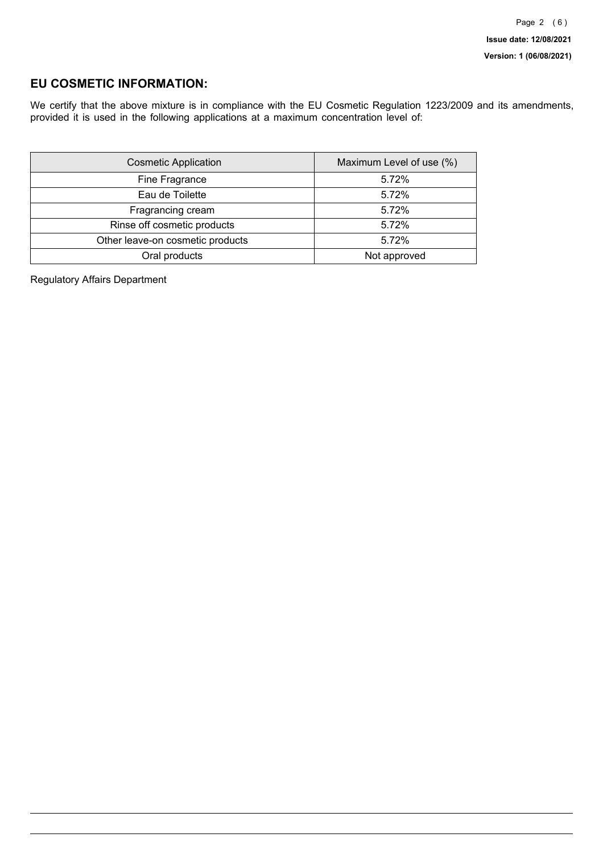## **EU COSMETIC INFORMATION:**

We certify that the above mixture is in compliance with the EU Cosmetic Regulation 1223/2009 and its amendments, provided it is used in the following applications at a maximum concentration level of:

| <b>Cosmetic Application</b>      | Maximum Level of use (%) |
|----------------------------------|--------------------------|
| Fine Fragrance                   | 5.72%                    |
| Eau de Toilette                  | 5.72%                    |
| Fragrancing cream                | 5.72%                    |
| Rinse off cosmetic products      | 5.72%                    |
| Other leave-on cosmetic products | 5.72%                    |
| Oral products                    | Not approved             |

Regulatory Affairs Department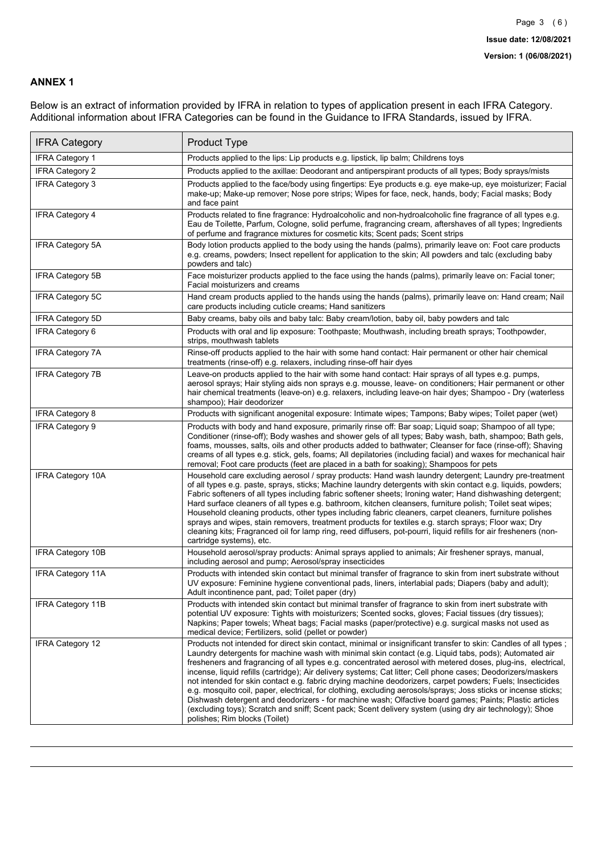### **ANNEX 1**

Below is an extract of information provided by IFRA in relation to types of application present in each IFRA Category. Additional information about IFRA Categories can be found in the Guidance to IFRA Standards, issued by IFRA.

| <b>IFRA Category</b>     | Product Type                                                                                                                                                                                                                                                                                                                                                                                                                                                                                                                                                                                                                                                                                                                                                                                                                                                                                                                                 |
|--------------------------|----------------------------------------------------------------------------------------------------------------------------------------------------------------------------------------------------------------------------------------------------------------------------------------------------------------------------------------------------------------------------------------------------------------------------------------------------------------------------------------------------------------------------------------------------------------------------------------------------------------------------------------------------------------------------------------------------------------------------------------------------------------------------------------------------------------------------------------------------------------------------------------------------------------------------------------------|
| <b>IFRA Category 1</b>   | Products applied to the lips: Lip products e.g. lipstick, lip balm; Childrens toys                                                                                                                                                                                                                                                                                                                                                                                                                                                                                                                                                                                                                                                                                                                                                                                                                                                           |
| <b>IFRA Category 2</b>   | Products applied to the axillae: Deodorant and antiperspirant products of all types; Body sprays/mists                                                                                                                                                                                                                                                                                                                                                                                                                                                                                                                                                                                                                                                                                                                                                                                                                                       |
| <b>IFRA Category 3</b>   | Products applied to the face/body using fingertips: Eye products e.g. eye make-up, eye moisturizer; Facial<br>make-up; Make-up remover; Nose pore strips; Wipes for face, neck, hands, body; Facial masks; Body<br>and face paint                                                                                                                                                                                                                                                                                                                                                                                                                                                                                                                                                                                                                                                                                                            |
| <b>IFRA Category 4</b>   | Products related to fine fragrance: Hydroalcoholic and non-hydroalcoholic fine fragrance of all types e.g.<br>Eau de Toilette, Parfum, Cologne, solid perfume, fragrancing cream, aftershaves of all types; Ingredients<br>of perfume and fragrance mixtures for cosmetic kits; Scent pads; Scent strips                                                                                                                                                                                                                                                                                                                                                                                                                                                                                                                                                                                                                                     |
| <b>IFRA Category 5A</b>  | Body lotion products applied to the body using the hands (palms), primarily leave on: Foot care products<br>e.g. creams, powders; Insect repellent for application to the skin; All powders and talc (excluding baby<br>powders and talc)                                                                                                                                                                                                                                                                                                                                                                                                                                                                                                                                                                                                                                                                                                    |
| IFRA Category 5B         | Face moisturizer products applied to the face using the hands (palms), primarily leave on: Facial toner;<br>Facial moisturizers and creams                                                                                                                                                                                                                                                                                                                                                                                                                                                                                                                                                                                                                                                                                                                                                                                                   |
| <b>IFRA Category 5C</b>  | Hand cream products applied to the hands using the hands (palms), primarily leave on: Hand cream; Nail<br>care products including cuticle creams; Hand sanitizers                                                                                                                                                                                                                                                                                                                                                                                                                                                                                                                                                                                                                                                                                                                                                                            |
| <b>IFRA Category 5D</b>  | Baby creams, baby oils and baby talc: Baby cream/lotion, baby oil, baby powders and talc                                                                                                                                                                                                                                                                                                                                                                                                                                                                                                                                                                                                                                                                                                                                                                                                                                                     |
| IFRA Category 6          | Products with oral and lip exposure: Toothpaste; Mouthwash, including breath sprays; Toothpowder,<br>strips, mouthwash tablets                                                                                                                                                                                                                                                                                                                                                                                                                                                                                                                                                                                                                                                                                                                                                                                                               |
| <b>IFRA Category 7A</b>  | Rinse-off products applied to the hair with some hand contact: Hair permanent or other hair chemical<br>treatments (rinse-off) e.g. relaxers, including rinse-off hair dyes                                                                                                                                                                                                                                                                                                                                                                                                                                                                                                                                                                                                                                                                                                                                                                  |
| <b>IFRA Category 7B</b>  | Leave-on products applied to the hair with some hand contact: Hair sprays of all types e.g. pumps,<br>aerosol sprays; Hair styling aids non sprays e.g. mousse, leave- on conditioners; Hair permanent or other<br>hair chemical treatments (leave-on) e.g. relaxers, including leave-on hair dyes; Shampoo - Dry (waterless<br>shampoo); Hair deodorizer                                                                                                                                                                                                                                                                                                                                                                                                                                                                                                                                                                                    |
| <b>IFRA Category 8</b>   | Products with significant anogenital exposure: Intimate wipes; Tampons; Baby wipes; Toilet paper (wet)                                                                                                                                                                                                                                                                                                                                                                                                                                                                                                                                                                                                                                                                                                                                                                                                                                       |
| IFRA Category 9          | Products with body and hand exposure, primarily rinse off: Bar soap; Liquid soap; Shampoo of all type;<br>Conditioner (rinse-off); Body washes and shower gels of all types; Baby wash, bath, shampoo; Bath gels,<br>foams, mousses, salts, oils and other products added to bathwater; Cleanser for face (rinse-off); Shaving<br>creams of all types e.g. stick, gels, foams; All depilatories (including facial) and waxes for mechanical hair<br>removal; Foot care products (feet are placed in a bath for soaking); Shampoos for pets                                                                                                                                                                                                                                                                                                                                                                                                   |
| <b>IFRA Category 10A</b> | Household care excluding aerosol / spray products: Hand wash laundry detergent; Laundry pre-treatment<br>of all types e.g. paste, sprays, sticks; Machine laundry detergents with skin contact e.g. liquids, powders;<br>Fabric softeners of all types including fabric softener sheets; Ironing water; Hand dishwashing detergent;<br>Hard surface cleaners of all types e.g. bathroom, kitchen cleansers, furniture polish; Toilet seat wipes;<br>Household cleaning products, other types including fabric cleaners, carpet cleaners, furniture polishes<br>sprays and wipes, stain removers, treatment products for textiles e.g. starch sprays; Floor wax; Dry<br>cleaning kits; Fragranced oil for lamp ring, reed diffusers, pot-pourri, liquid refills for air fresheners (non-<br>cartridge systems), etc.                                                                                                                          |
| <b>IFRA Category 10B</b> | Household aerosol/spray products: Animal sprays applied to animals; Air freshener sprays, manual,<br>including aerosol and pump; Aerosol/spray insecticides                                                                                                                                                                                                                                                                                                                                                                                                                                                                                                                                                                                                                                                                                                                                                                                  |
| <b>IFRA Category 11A</b> | Products with intended skin contact but minimal transfer of fragrance to skin from inert substrate without<br>UV exposure: Feminine hygiene conventional pads, liners, interlabial pads; Diapers (baby and adult);<br>Adult incontinence pant, pad; Toilet paper (dry)                                                                                                                                                                                                                                                                                                                                                                                                                                                                                                                                                                                                                                                                       |
| <b>IFRA Category 11B</b> | Products with intended skin contact but minimal transfer of fragrance to skin from inert substrate with<br>potential UV exposure: Tights with moisturizers; Scented socks, gloves; Facial tissues (dry tissues);<br>Napkins; Paper towels; Wheat bags; Facial masks (paper/protective) e.g. surgical masks not used as<br>medical device; Fertilizers, solid (pellet or powder)                                                                                                                                                                                                                                                                                                                                                                                                                                                                                                                                                              |
| <b>IFRA Category 12</b>  | Products not intended for direct skin contact, minimal or insignificant transfer to skin: Candles of all types;<br>Laundry detergents for machine wash with minimal skin contact (e.g. Liquid tabs, pods); Automated air<br>fresheners and fragrancing of all types e.g. concentrated aerosol with metered doses, plug-ins, electrical,<br>incense, liquid refills (cartridge); Air delivery systems; Cat litter; Cell phone cases; Deodorizers/maskers<br>not intended for skin contact e.g. fabric drying machine deodorizers, carpet powders; Fuels; Insecticides<br>e.g. mosquito coil, paper, electrical, for clothing, excluding aerosols/sprays; Joss sticks or incense sticks;<br>Dishwash detergent and deodorizers - for machine wash; Olfactive board games; Paints; Plastic articles<br>(excluding toys); Scratch and sniff; Scent pack; Scent delivery system (using dry air technology); Shoe<br>polishes; Rim blocks (Toilet) |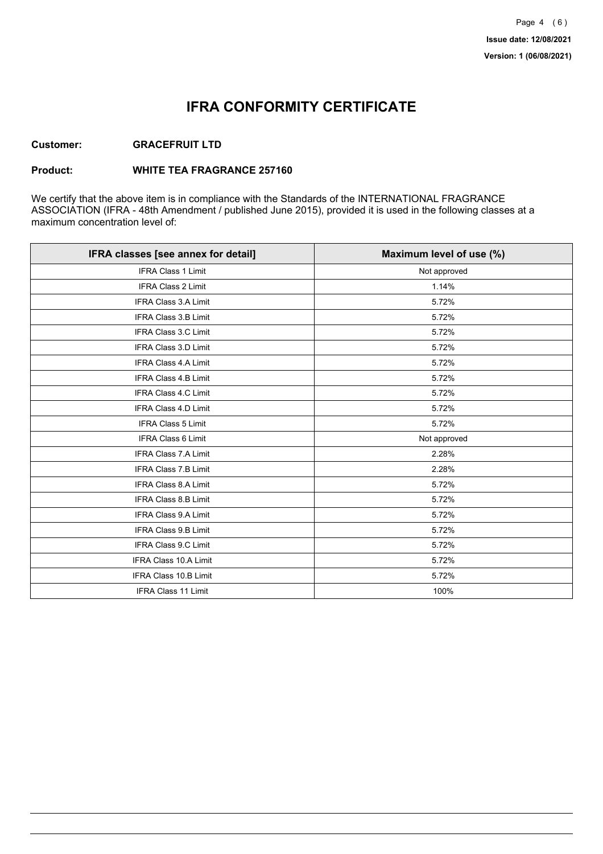## **IFRA CONFORMITY CERTIFICATE**

### **Customer: GRACEFRUIT LTD**

#### **Product: WHITE TEA FRAGRANCE 257160**

We certify that the above item is in compliance with the Standards of the INTERNATIONAL FRAGRANCE ASSOCIATION (IFRA - 48th Amendment / published June 2015), provided it is used in the following classes at a maximum concentration level of:

| IFRA classes [see annex for detail] | Maximum level of use (%) |
|-------------------------------------|--------------------------|
| <b>IFRA Class 1 Limit</b>           | Not approved             |
| IFRA Class 2 Limit                  | 1.14%                    |
| <b>IFRA Class 3.A Limit</b>         | 5.72%                    |
| IFRA Class 3.B Limit                | 5.72%                    |
| <b>IFRA Class 3.C Limit</b>         | 5.72%                    |
| IFRA Class 3.D Limit                | 5.72%                    |
| IFRA Class 4.A Limit                | 5.72%                    |
| <b>IFRA Class 4.B Limit</b>         | 5.72%                    |
| <b>IFRA Class 4.C Limit</b>         | 5.72%                    |
| <b>IFRA Class 4.D Limit</b>         | 5.72%                    |
| <b>IFRA Class 5 Limit</b>           | 5.72%                    |
| IFRA Class 6 Limit                  | Not approved             |
| <b>IFRA Class 7.A Limit</b>         | 2.28%                    |
| <b>IFRA Class 7.B Limit</b>         | 2.28%                    |
| <b>IFRA Class 8.A Limit</b>         | 5.72%                    |
| IFRA Class 8.B Limit                | 5.72%                    |
| IFRA Class 9.A Limit                | 5.72%                    |
| <b>IFRA Class 9.B Limit</b>         | 5.72%                    |
| IFRA Class 9.C Limit                | 5.72%                    |
| IFRA Class 10.A Limit               | 5.72%                    |
| IFRA Class 10.B Limit               | 5.72%                    |
| <b>IFRA Class 11 Limit</b>          | 100%                     |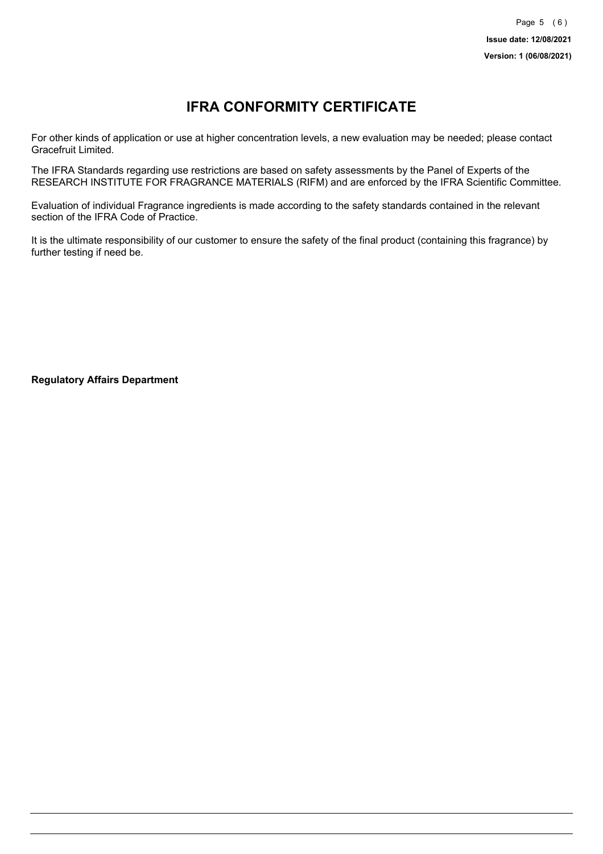# **IFRA CONFORMITY CERTIFICATE**

For other kinds of application or use at higher concentration levels, a new evaluation may be needed; please contact Gracefruit Limited.

The IFRA Standards regarding use restrictions are based on safety assessments by the Panel of Experts of the RESEARCH INSTITUTE FOR FRAGRANCE MATERIALS (RIFM) and are enforced by the IFRA Scientific Committee.

Evaluation of individual Fragrance ingredients is made according to the safety standards contained in the relevant section of the IFRA Code of Practice.

It is the ultimate responsibility of our customer to ensure the safety of the final product (containing this fragrance) by further testing if need be.

**Regulatory Affairs Department**